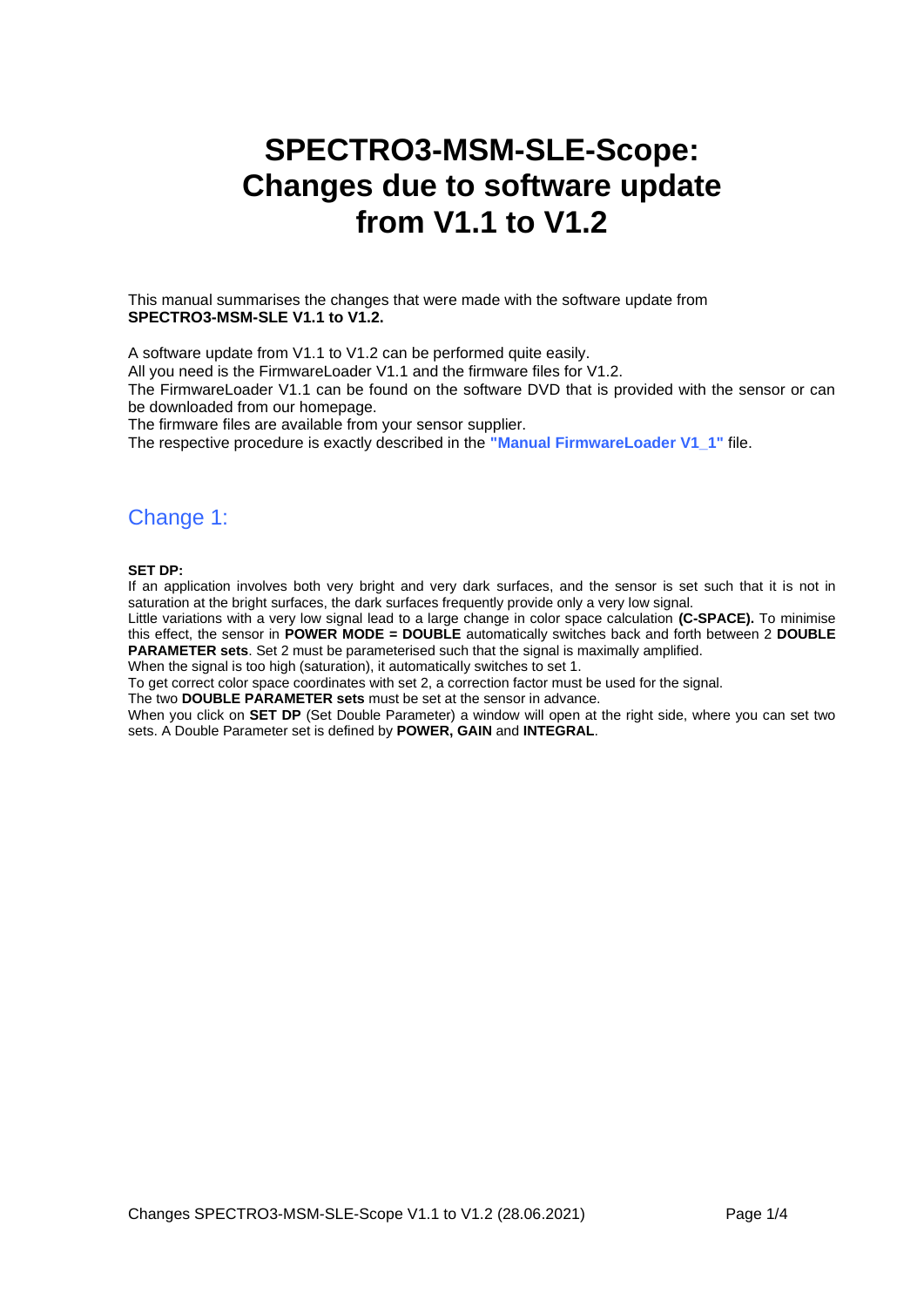# **SPECTRO3-MSM-SLE-Scope: Changes due to software update from V1.1 to V1.2**

This manual summarises the changes that were made with the software update from **SPECTRO3-MSM-SLE V1.1 to V1.2.**

A software update from V1.1 to V1.2 can be performed quite easily.

All you need is the FirmwareLoader V1.1 and the firmware files for V1.2.

The FirmwareLoader V1.1 can be found on the software DVD that is provided with the sensor or can be downloaded from our homepage.

The firmware files are available from your sensor supplier.

The respective procedure is exactly described in the **"Manual FirmwareLoader V1\_1"** file.

## Change 1:

**SET DP:**

If an application involves both very bright and very dark surfaces, and the sensor is set such that it is not in saturation at the bright surfaces, the dark surfaces frequently provide only a very low signal.

Little variations with a very low signal lead to a large change in color space calculation **(C-SPACE).** To minimise this effect, the sensor in **POWER MODE = DOUBLE** automatically switches back and forth between 2 **DOUBLE PARAMETER sets**. Set 2 must be parameterised such that the signal is maximally amplified.

When the signal is too high (saturation), it automatically switches to set 1.

To get correct color space coordinates with set 2, a correction factor must be used for the signal.

The two **DOUBLE PARAMETER sets** must be set at the sensor in advance.

When you click on **SET DP** (Set Double Parameter) a window will open at the right side, where you can set two sets. A Double Parameter set is defined by **POWER, GAIN** and **INTEGRAL**.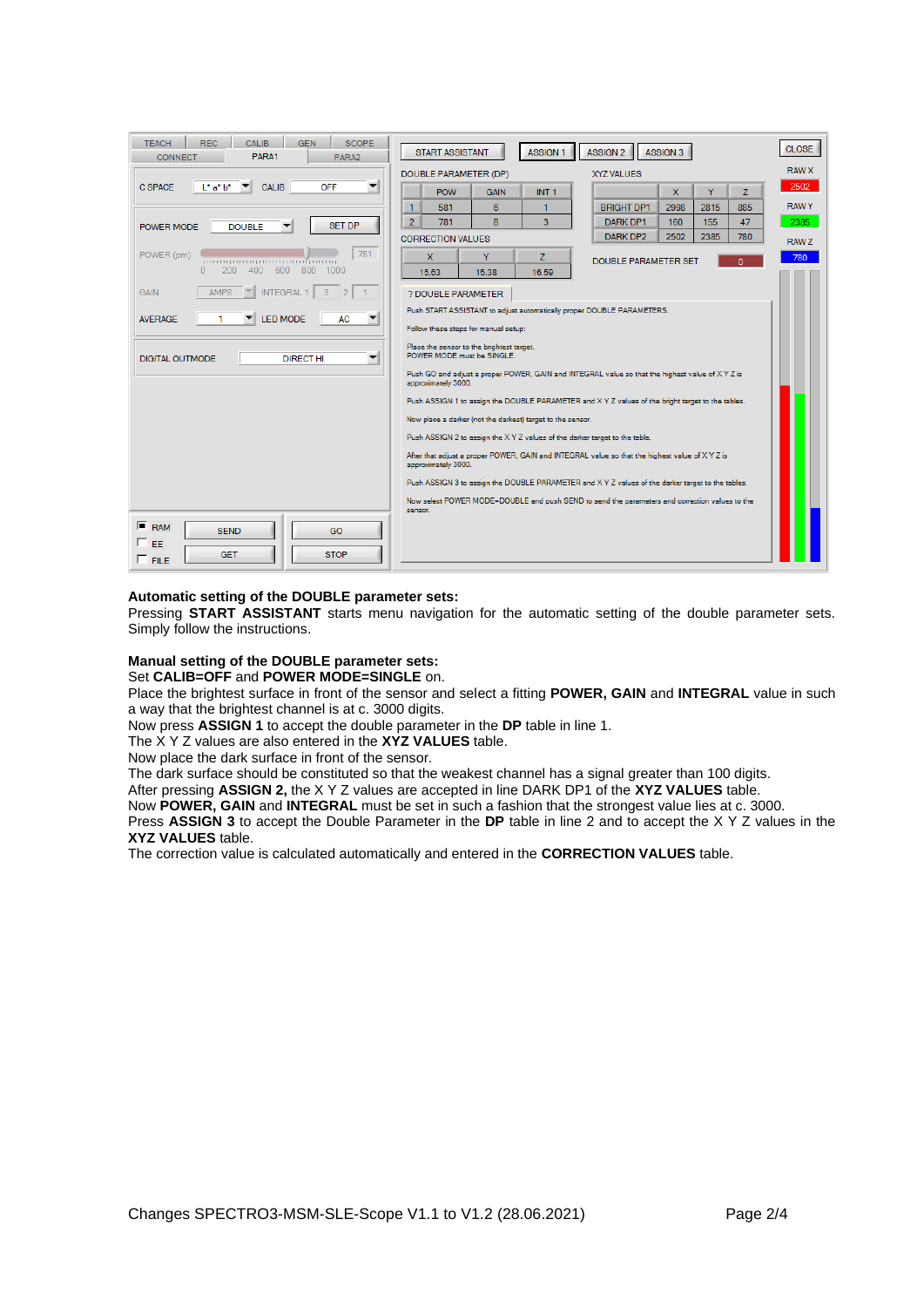| DOUBLE PARAMETER (DP)<br><b>XYZ VALUES</b><br><b>C SPACE</b><br>OFF<br>$L^*$ a* $b^*$<br><b>CALIB</b><br><b>POW</b><br>INT <sub>1</sub><br>Y<br>Z<br><b>GAIN</b><br>$\mathbf{x}$<br><b>RAWY</b><br>$\mathbf{1}$<br>6<br><b>BRIGHT DP1</b><br>2998<br>2815<br>581<br>885<br>$\overline{2}$<br>8<br>781<br>3<br>47<br>DARK DP1<br>160<br>155<br><b>SET DP</b><br><b>DOUBLE</b><br>POWER MODE<br>2502<br>2385<br>DARK DP2<br>780<br><b>CORRECTION VALUES</b><br><b>RAWZ</b><br>781<br>POWER (pm)<br>X.<br>Y<br>z<br><b>DOUBLE PARAMETER SET</b><br>ومتميز آنتميز بتنبو بتنبو بتنبو بتنبو<br>n<br>200<br>400<br>600<br>800<br>$\Omega$<br>1000<br>15.38<br>16.59<br>15.63<br>AMP8<br><b>INTEGRAL 1</b><br><b>GAIN</b><br>$\overline{3}$<br>$\overline{2}$<br>? DOUBLE PARAMETER<br>Push START ASSISTANT to adjust automatically proper DOUBLE PARAMETERS.<br>AC<br><b>AVERAGE</b><br><b>LED MODE</b> | <b>RAW X</b><br>2502 |
|--------------------------------------------------------------------------------------------------------------------------------------------------------------------------------------------------------------------------------------------------------------------------------------------------------------------------------------------------------------------------------------------------------------------------------------------------------------------------------------------------------------------------------------------------------------------------------------------------------------------------------------------------------------------------------------------------------------------------------------------------------------------------------------------------------------------------------------------------------------------------------------------------|----------------------|
|                                                                                                                                                                                                                                                                                                                                                                                                                                                                                                                                                                                                                                                                                                                                                                                                                                                                                                  |                      |
|                                                                                                                                                                                                                                                                                                                                                                                                                                                                                                                                                                                                                                                                                                                                                                                                                                                                                                  |                      |
|                                                                                                                                                                                                                                                                                                                                                                                                                                                                                                                                                                                                                                                                                                                                                                                                                                                                                                  |                      |
|                                                                                                                                                                                                                                                                                                                                                                                                                                                                                                                                                                                                                                                                                                                                                                                                                                                                                                  | 2385                 |
|                                                                                                                                                                                                                                                                                                                                                                                                                                                                                                                                                                                                                                                                                                                                                                                                                                                                                                  |                      |
|                                                                                                                                                                                                                                                                                                                                                                                                                                                                                                                                                                                                                                                                                                                                                                                                                                                                                                  | 780                  |
|                                                                                                                                                                                                                                                                                                                                                                                                                                                                                                                                                                                                                                                                                                                                                                                                                                                                                                  |                      |
|                                                                                                                                                                                                                                                                                                                                                                                                                                                                                                                                                                                                                                                                                                                                                                                                                                                                                                  |                      |
|                                                                                                                                                                                                                                                                                                                                                                                                                                                                                                                                                                                                                                                                                                                                                                                                                                                                                                  |                      |
| Follow these steps for manual setup:                                                                                                                                                                                                                                                                                                                                                                                                                                                                                                                                                                                                                                                                                                                                                                                                                                                             |                      |
| Place the sensor to the brightest target.<br>POWER MODE must be SINGLE.<br><b>DIGITAL OUTMODE</b><br><b>DIRECT HI</b><br>▼                                                                                                                                                                                                                                                                                                                                                                                                                                                                                                                                                                                                                                                                                                                                                                       |                      |
| Push GO and adjust a proper POWER, GAIN and INTEGRAL value so that the highest value of X Y Z is<br>approximately 3000.                                                                                                                                                                                                                                                                                                                                                                                                                                                                                                                                                                                                                                                                                                                                                                          |                      |
| Push ASSIGN 1 to assign the DOUBLE PARAMETER and XYZ values of the bright target to the tables.                                                                                                                                                                                                                                                                                                                                                                                                                                                                                                                                                                                                                                                                                                                                                                                                  |                      |
| Now place a darker (not the darkest) target to the sensor.                                                                                                                                                                                                                                                                                                                                                                                                                                                                                                                                                                                                                                                                                                                                                                                                                                       |                      |
| Push ASSIGN 2 to assign the X Y Z values of the darker target to the table.                                                                                                                                                                                                                                                                                                                                                                                                                                                                                                                                                                                                                                                                                                                                                                                                                      |                      |
| After that adjust a proper POWER, GAIN and INTEGRAL value so that the highest value of X Y Z is<br>approximately 3000.                                                                                                                                                                                                                                                                                                                                                                                                                                                                                                                                                                                                                                                                                                                                                                           |                      |
| Push ASSIGN 3 to assign the DOUBLE PARAMETER and XYZ values of the darker target to the tables.                                                                                                                                                                                                                                                                                                                                                                                                                                                                                                                                                                                                                                                                                                                                                                                                  |                      |
| Now select POWER MODE=DOUBLE and push SEND to send the parameters and correction values to the<br>sensor.                                                                                                                                                                                                                                                                                                                                                                                                                                                                                                                                                                                                                                                                                                                                                                                        |                      |
| $F$ RAM<br><b>SEND</b><br>GO<br>E FF.<br><b>GET</b><br><b>STOP</b><br>$\Gamma$ FILE                                                                                                                                                                                                                                                                                                                                                                                                                                                                                                                                                                                                                                                                                                                                                                                                              |                      |

#### **Automatic setting of the DOUBLE parameter sets:**

Pressing **START ASSISTANT** starts menu navigation for the automatic setting of the double parameter sets. Simply follow the instructions.

### **Manual setting of the DOUBLE parameter sets:**

## Set **CALIB=OFF** and **POWER MODE=SINGLE** on.

Place the brightest surface in front of the sensor and select a fitting **POWER, GAIN** and **INTEGRAL** value in such a way that the brightest channel is at c. 3000 digits.

Now press **ASSIGN 1** to accept the double parameter in the **DP** table in line 1.

The X Y Z values are also entered in the **XYZ VALUES** table.

Now place the dark surface in front of the sensor.

The dark surface should be constituted so that the weakest channel has a signal greater than 100 digits.

After pressing **ASSIGN 2,** the X Y Z values are accepted in line DARK DP1 of the **XYZ VALUES** table.

Now **POWER, GAIN** and **INTEGRAL** must be set in such a fashion that the strongest value lies at c. 3000.

Press **ASSIGN 3** to accept the Double Parameter in the **DP** table in line 2 and to accept the X Y Z values in the **XYZ VALUES** table.

The correction value is calculated automatically and entered in the **CORRECTION VALUES** table.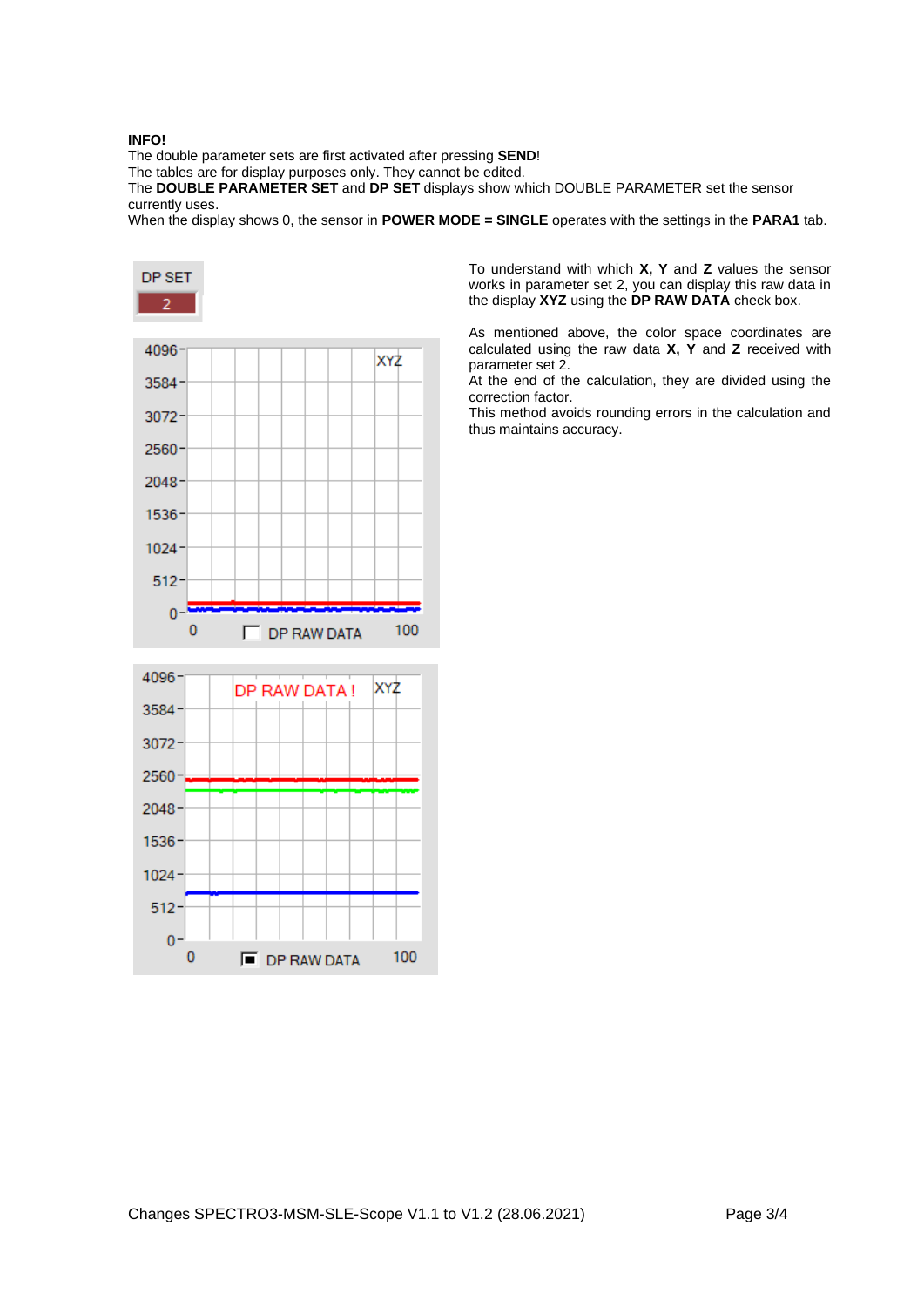#### **INFO!**

The double parameter sets are first activated after pressing **SEND**!

The tables are for display purposes only. They cannot be edited.

The **DOUBLE PARAMETER SET** and **DP SET** displays show which DOUBLE PARAMETER set the sensor currently uses.

When the display shows 0, the sensor in **POWER MODE = SINGLE** operates with the settings in the **PARA1** tab.



 $3072 -$ 2560 2048 1536 1024  $512 \mathbf{0}$  $\mathbf{0}$ 100  $\blacksquare$  DP RAW DATA

To understand with which **X, Y** and **Z** values the sensor works in parameter set 2, you can display this raw data in the display **XYZ** using the **DP RAW DATA** check box.

As mentioned above, the color space coordinates are calculated using the raw data **X, Y** and **Z** received with parameter set 2.

At the end of the calculation, they are divided using the correction factor.

This method avoids rounding errors in the calculation and thus maintains accuracy.